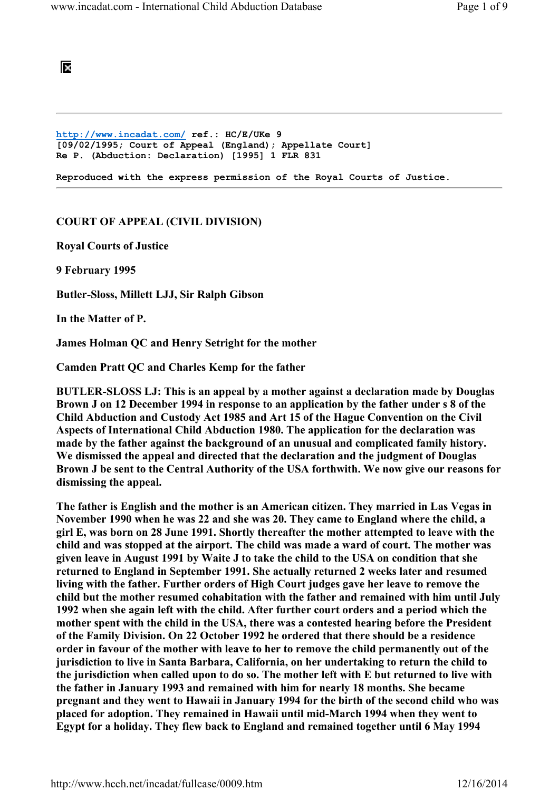## BS.

http://www.incadat.com/ ref.: HC/E/UKe 9 [09/02/1995; Court of Appeal (England); Appellate Court] Re P. (Abduction: Declaration) [1995] 1 FLR 831

Reproduced with the express permission of the Royal Courts of Justice.

## COURT OF APPEAL (CIVIL DIVISION)

Royal Courts of Justice

9 February 1995

Butler-Sloss, Millett LJJ, Sir Ralph Gibson

In the Matter of P.

James Holman QC and Henry Setright for the mother

Camden Pratt QC and Charles Kemp for the father

BUTLER-SLOSS LJ: This is an appeal by a mother against a declaration made by Douglas Brown J on 12 December 1994 in response to an application by the father under s 8 of the Child Abduction and Custody Act 1985 and Art 15 of the Hague Convention on the Civil Aspects of International Child Abduction 1980. The application for the declaration was made by the father against the background of an unusual and complicated family history. We dismissed the appeal and directed that the declaration and the judgment of Douglas Brown J be sent to the Central Authority of the USA forthwith. We now give our reasons for dismissing the appeal.

The father is English and the mother is an American citizen. They married in Las Vegas in November 1990 when he was 22 and she was 20. They came to England where the child, a girl E, was born on 28 June 1991. Shortly thereafter the mother attempted to leave with the child and was stopped at the airport. The child was made a ward of court. The mother was given leave in August 1991 by Waite J to take the child to the USA on condition that she returned to England in September 1991. She actually returned 2 weeks later and resumed living with the father. Further orders of High Court judges gave her leave to remove the child but the mother resumed cohabitation with the father and remained with him until July 1992 when she again left with the child. After further court orders and a period which the mother spent with the child in the USA, there was a contested hearing before the President of the Family Division. On 22 October 1992 he ordered that there should be a residence order in favour of the mother with leave to her to remove the child permanently out of the jurisdiction to live in Santa Barbara, California, on her undertaking to return the child to the jurisdiction when called upon to do so. The mother left with E but returned to live with the father in January 1993 and remained with him for nearly 18 months. She became pregnant and they went to Hawaii in January 1994 for the birth of the second child who was placed for adoption. They remained in Hawaii until mid-March 1994 when they went to Egypt for a holiday. They flew back to England and remained together until 6 May 1994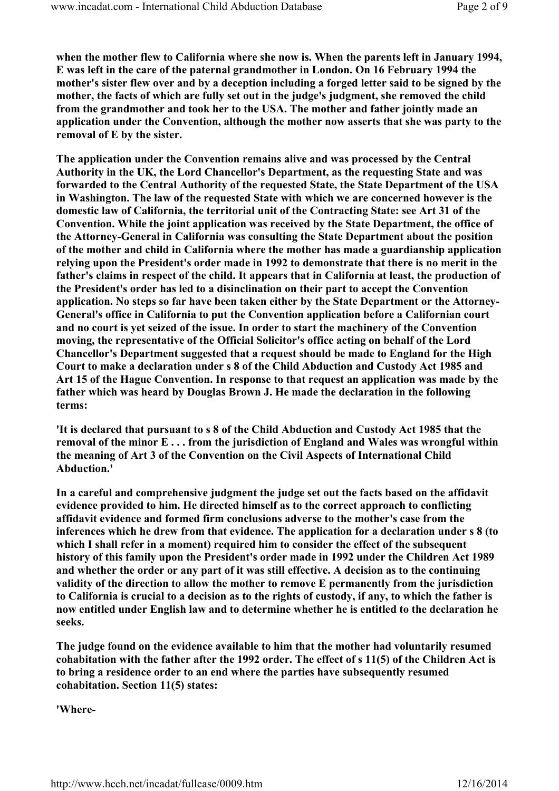when the mother flew to California where she now is. When the parents left in January 1994, E was left in the care of the paternal grandmother in London. On 16 February 1994 the mother's sister flew over and by a deception including a forged letter said to be signed by the mother, the facts of which are fully set out in the judge's judgment, she removed the child from the grandmother and took her to the USA. The mother and father jointly made an application under the Convention, although the mother now asserts that she was party to the removal of E by the sister.

The application under the Convention remains alive and was processed by the Central Authority in the UK, the Lord Chancellor's Department, as the requesting State and was forwarded to the Central Authority of the requested State, the State Department of the USA in Washington. The law of the requested State with which we are concerned however is the domestic law of California, the territorial unit of the Contracting State: see Art 31 of the Convention. While the joint application was received by the State Department, the office of the Attorney-General in California was consulting the State Department about the position of the mother and child in California where the mother has made a guardianship application relying upon the President's order made in 1992 to demonstrate that there is no merit in the father's claims in respect of the child. It appears that in California at least, the production of the President's order has led to a disinclination on their part to accept the Convention application. No steps so far have been taken either by the State Department or the Attorney-General's office in California to put the Convention application before a Californian court and no court is yet seized of the issue. In order to start the machinery of the Convention moving, the representative of the Official Solicitor's office acting on behalf of the Lord Chancellor's Department suggested that a request should be made to England for the High Court to make a declaration under s 8 of the Child Abduction and Custody Act 1985 and Art 15 of the Hague Convention. In response to that request an application was made by the father which was heard by Douglas Brown J. He made the declaration in the following terms:

'It is declared that pursuant to s 8 of the Child Abduction and Custody Act 1985 that the removal of the minor E . . . from the jurisdiction of England and Wales was wrongful within the meaning of Art 3 of the Convention on the Civil Aspects of International Child Abduction.'

In a careful and comprehensive judgment the judge set out the facts based on the affidavit evidence provided to him. He directed himself as to the correct approach to conflicting affidavit evidence and formed firm conclusions adverse to the mother's case from the inferences which he drew from that evidence. The application for a declaration under s 8 (to which I shall refer in a moment) required him to consider the effect of the subsequent history of this family upon the President's order made in 1992 under the Children Act 1989 and whether the order or any part of it was still effective. A decision as to the continuing validity of the direction to allow the mother to remove E permanently from the jurisdiction to California is crucial to a decision as to the rights of custody, if any, to which the father is now entitled under English law and to determine whether he is entitled to the declaration he seeks.

The judge found on the evidence available to him that the mother had voluntarily resumed cohabitation with the father after the 1992 order. The effect of s 11(5) of the Children Act is to bring a residence order to an end where the parties have subsequently resumed cohabitation. Section 11(5) states:

'Where-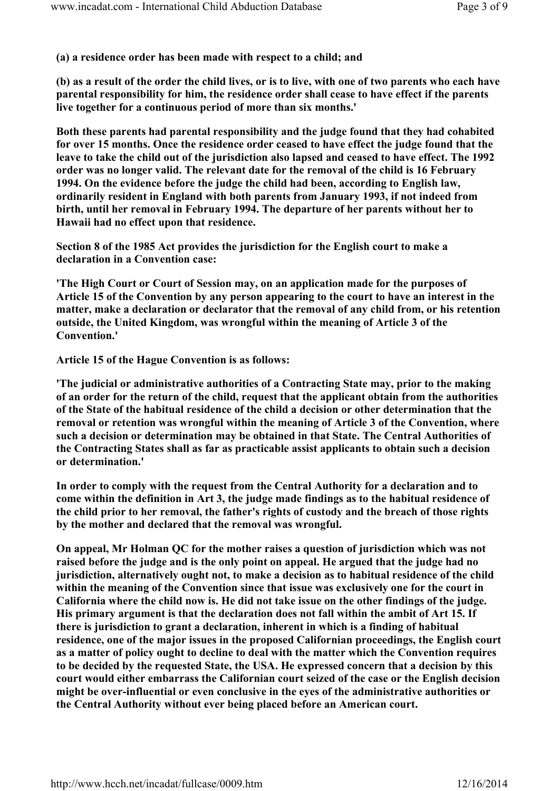(a) a residence order has been made with respect to a child; and

(b) as a result of the order the child lives, or is to live, with one of two parents who each have parental responsibility for him, the residence order shall cease to have effect if the parents live together for a continuous period of more than six months.'

Both these parents had parental responsibility and the judge found that they had cohabited for over 15 months. Once the residence order ceased to have effect the judge found that the leave to take the child out of the jurisdiction also lapsed and ceased to have effect. The 1992 order was no longer valid. The relevant date for the removal of the child is 16 February 1994. On the evidence before the judge the child had been, according to English law, ordinarily resident in England with both parents from January 1993, if not indeed from birth, until her removal in February 1994. The departure of her parents without her to Hawaii had no effect upon that residence.

Section 8 of the 1985 Act provides the jurisdiction for the English court to make a declaration in a Convention case:

'The High Court or Court of Session may, on an application made for the purposes of Article 15 of the Convention by any person appearing to the court to have an interest in the matter, make a declaration or declarator that the removal of any child from, or his retention outside, the United Kingdom, was wrongful within the meaning of Article 3 of the Convention.'

Article 15 of the Hague Convention is as follows:

'The judicial or administrative authorities of a Contracting State may, prior to the making of an order for the return of the child, request that the applicant obtain from the authorities of the State of the habitual residence of the child a decision or other determination that the removal or retention was wrongful within the meaning of Article 3 of the Convention, where such a decision or determination may be obtained in that State. The Central Authorities of the Contracting States shall as far as practicable assist applicants to obtain such a decision or determination.'

In order to comply with the request from the Central Authority for a declaration and to come within the definition in Art 3, the judge made findings as to the habitual residence of the child prior to her removal, the father's rights of custody and the breach of those rights by the mother and declared that the removal was wrongful.

On appeal, Mr Holman QC for the mother raises a question of jurisdiction which was not raised before the judge and is the only point on appeal. He argued that the judge had no jurisdiction, alternatively ought not, to make a decision as to habitual residence of the child within the meaning of the Convention since that issue was exclusively one for the court in California where the child now is. He did not take issue on the other findings of the judge. His primary argument is that the declaration does not fall within the ambit of Art 15. If there is jurisdiction to grant a declaration, inherent in which is a finding of habitual residence, one of the major issues in the proposed Californian proceedings, the English court as a matter of policy ought to decline to deal with the matter which the Convention requires to be decided by the requested State, the USA. He expressed concern that a decision by this court would either embarrass the Californian court seized of the case or the English decision might be over-influential or even conclusive in the eyes of the administrative authorities or the Central Authority without ever being placed before an American court.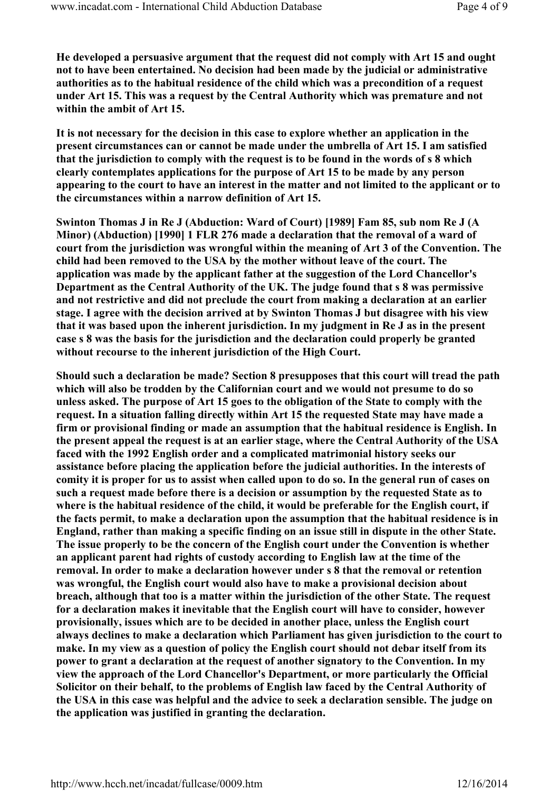He developed a persuasive argument that the request did not comply with Art 15 and ought not to have been entertained. No decision had been made by the judicial or administrative authorities as to the habitual residence of the child which was a precondition of a request under Art 15. This was a request by the Central Authority which was premature and not within the ambit of Art 15.

It is not necessary for the decision in this case to explore whether an application in the present circumstances can or cannot be made under the umbrella of Art 15. I am satisfied that the jurisdiction to comply with the request is to be found in the words of s 8 which clearly contemplates applications for the purpose of Art 15 to be made by any person appearing to the court to have an interest in the matter and not limited to the applicant or to the circumstances within a narrow definition of Art 15.

Swinton Thomas J in Re J (Abduction: Ward of Court) [1989] Fam 85, sub nom Re J (A Minor) (Abduction) [1990] 1 FLR 276 made a declaration that the removal of a ward of court from the jurisdiction was wrongful within the meaning of Art 3 of the Convention. The child had been removed to the USA by the mother without leave of the court. The application was made by the applicant father at the suggestion of the Lord Chancellor's Department as the Central Authority of the UK. The judge found that s 8 was permissive and not restrictive and did not preclude the court from making a declaration at an earlier stage. I agree with the decision arrived at by Swinton Thomas J but disagree with his view that it was based upon the inherent jurisdiction. In my judgment in Re J as in the present case s 8 was the basis for the jurisdiction and the declaration could properly be granted without recourse to the inherent jurisdiction of the High Court.

Should such a declaration be made? Section 8 presupposes that this court will tread the path which will also be trodden by the Californian court and we would not presume to do so unless asked. The purpose of Art 15 goes to the obligation of the State to comply with the request. In a situation falling directly within Art 15 the requested State may have made a firm or provisional finding or made an assumption that the habitual residence is English. In the present appeal the request is at an earlier stage, where the Central Authority of the USA faced with the 1992 English order and a complicated matrimonial history seeks our assistance before placing the application before the judicial authorities. In the interests of comity it is proper for us to assist when called upon to do so. In the general run of cases on such a request made before there is a decision or assumption by the requested State as to where is the habitual residence of the child, it would be preferable for the English court, if the facts permit, to make a declaration upon the assumption that the habitual residence is in England, rather than making a specific finding on an issue still in dispute in the other State. The issue properly to be the concern of the English court under the Convention is whether an applicant parent had rights of custody according to English law at the time of the removal. In order to make a declaration however under s 8 that the removal or retention was wrongful, the English court would also have to make a provisional decision about breach, although that too is a matter within the jurisdiction of the other State. The request for a declaration makes it inevitable that the English court will have to consider, however provisionally, issues which are to be decided in another place, unless the English court always declines to make a declaration which Parliament has given jurisdiction to the court to make. In my view as a question of policy the English court should not debar itself from its power to grant a declaration at the request of another signatory to the Convention. In my view the approach of the Lord Chancellor's Department, or more particularly the Official Solicitor on their behalf, to the problems of English law faced by the Central Authority of the USA in this case was helpful and the advice to seek a declaration sensible. The judge on the application was justified in granting the declaration.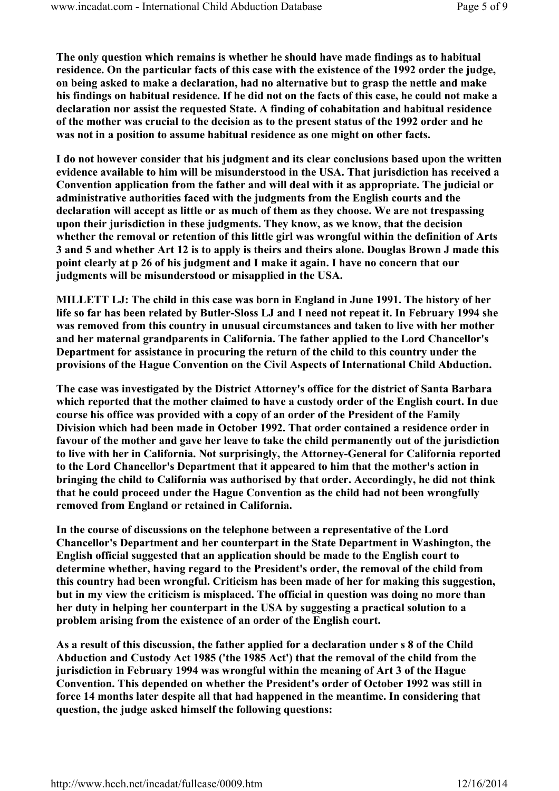The only question which remains is whether he should have made findings as to habitual residence. On the particular facts of this case with the existence of the 1992 order the judge, on being asked to make a declaration, had no alternative but to grasp the nettle and make his findings on habitual residence. If he did not on the facts of this case, he could not make a declaration nor assist the requested State. A finding of cohabitation and habitual residence of the mother was crucial to the decision as to the present status of the 1992 order and he was not in a position to assume habitual residence as one might on other facts.

I do not however consider that his judgment and its clear conclusions based upon the written evidence available to him will be misunderstood in the USA. That jurisdiction has received a Convention application from the father and will deal with it as appropriate. The judicial or administrative authorities faced with the judgments from the English courts and the declaration will accept as little or as much of them as they choose. We are not trespassing upon their jurisdiction in these judgments. They know, as we know, that the decision whether the removal or retention of this little girl was wrongful within the definition of Arts 3 and 5 and whether Art 12 is to apply is theirs and theirs alone. Douglas Brown J made this point clearly at p 26 of his judgment and I make it again. I have no concern that our judgments will be misunderstood or misapplied in the USA.

MILLETT LJ: The child in this case was born in England in June 1991. The history of her life so far has been related by Butler-Sloss LJ and I need not repeat it. In February 1994 she was removed from this country in unusual circumstances and taken to live with her mother and her maternal grandparents in California. The father applied to the Lord Chancellor's Department for assistance in procuring the return of the child to this country under the provisions of the Hague Convention on the Civil Aspects of International Child Abduction.

The case was investigated by the District Attorney's office for the district of Santa Barbara which reported that the mother claimed to have a custody order of the English court. In due course his office was provided with a copy of an order of the President of the Family Division which had been made in October 1992. That order contained a residence order in favour of the mother and gave her leave to take the child permanently out of the jurisdiction to live with her in California. Not surprisingly, the Attorney-General for California reported to the Lord Chancellor's Department that it appeared to him that the mother's action in bringing the child to California was authorised by that order. Accordingly, he did not think that he could proceed under the Hague Convention as the child had not been wrongfully removed from England or retained in California.

In the course of discussions on the telephone between a representative of the Lord Chancellor's Department and her counterpart in the State Department in Washington, the English official suggested that an application should be made to the English court to determine whether, having regard to the President's order, the removal of the child from this country had been wrongful. Criticism has been made of her for making this suggestion, but in my view the criticism is misplaced. The official in question was doing no more than her duty in helping her counterpart in the USA by suggesting a practical solution to a problem arising from the existence of an order of the English court.

As a result of this discussion, the father applied for a declaration under s 8 of the Child Abduction and Custody Act 1985 ('the 1985 Act') that the removal of the child from the jurisdiction in February 1994 was wrongful within the meaning of Art 3 of the Hague Convention. This depended on whether the President's order of October 1992 was still in force 14 months later despite all that had happened in the meantime. In considering that question, the judge asked himself the following questions: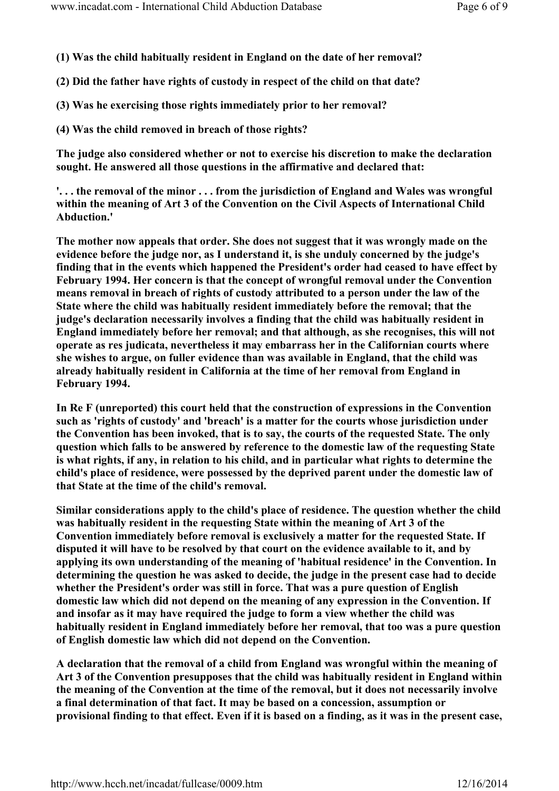(1) Was the child habitually resident in England on the date of her removal?

(2) Did the father have rights of custody in respect of the child on that date?

(3) Was he exercising those rights immediately prior to her removal?

(4) Was the child removed in breach of those rights?

The judge also considered whether or not to exercise his discretion to make the declaration sought. He answered all those questions in the affirmative and declared that:

'. . . the removal of the minor . . . from the jurisdiction of England and Wales was wrongful within the meaning of Art 3 of the Convention on the Civil Aspects of International Child Abduction.'

The mother now appeals that order. She does not suggest that it was wrongly made on the evidence before the judge nor, as I understand it, is she unduly concerned by the judge's finding that in the events which happened the President's order had ceased to have effect by February 1994. Her concern is that the concept of wrongful removal under the Convention means removal in breach of rights of custody attributed to a person under the law of the State where the child was habitually resident immediately before the removal; that the judge's declaration necessarily involves a finding that the child was habitually resident in England immediately before her removal; and that although, as she recognises, this will not operate as res judicata, nevertheless it may embarrass her in the Californian courts where she wishes to argue, on fuller evidence than was available in England, that the child was already habitually resident in California at the time of her removal from England in February 1994.

In Re F (unreported) this court held that the construction of expressions in the Convention such as 'rights of custody' and 'breach' is a matter for the courts whose jurisdiction under the Convention has been invoked, that is to say, the courts of the requested State. The only question which falls to be answered by reference to the domestic law of the requesting State is what rights, if any, in relation to his child, and in particular what rights to determine the child's place of residence, were possessed by the deprived parent under the domestic law of that State at the time of the child's removal.

Similar considerations apply to the child's place of residence. The question whether the child was habitually resident in the requesting State within the meaning of Art 3 of the Convention immediately before removal is exclusively a matter for the requested State. If disputed it will have to be resolved by that court on the evidence available to it, and by applying its own understanding of the meaning of 'habitual residence' in the Convention. In determining the question he was asked to decide, the judge in the present case had to decide whether the President's order was still in force. That was a pure question of English domestic law which did not depend on the meaning of any expression in the Convention. If and insofar as it may have required the judge to form a view whether the child was habitually resident in England immediately before her removal, that too was a pure question of English domestic law which did not depend on the Convention.

A declaration that the removal of a child from England was wrongful within the meaning of Art 3 of the Convention presupposes that the child was habitually resident in England within the meaning of the Convention at the time of the removal, but it does not necessarily involve a final determination of that fact. It may be based on a concession, assumption or provisional finding to that effect. Even if it is based on a finding, as it was in the present case,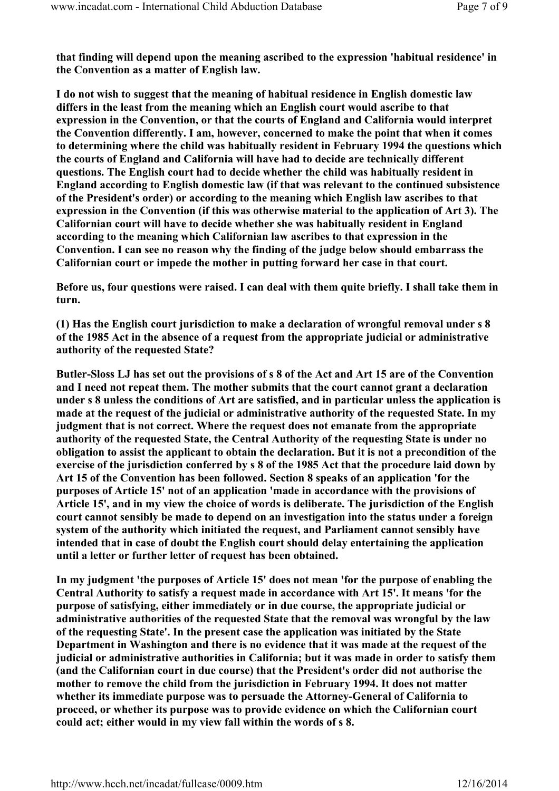that finding will depend upon the meaning ascribed to the expression 'habitual residence' in the Convention as a matter of English law.

I do not wish to suggest that the meaning of habitual residence in English domestic law differs in the least from the meaning which an English court would ascribe to that expression in the Convention, or that the courts of England and California would interpret the Convention differently. I am, however, concerned to make the point that when it comes to determining where the child was habitually resident in February 1994 the questions which the courts of England and California will have had to decide are technically different questions. The English court had to decide whether the child was habitually resident in England according to English domestic law (if that was relevant to the continued subsistence of the President's order) or according to the meaning which English law ascribes to that expression in the Convention (if this was otherwise material to the application of Art 3). The Californian court will have to decide whether she was habitually resident in England according to the meaning which Californian law ascribes to that expression in the Convention. I can see no reason why the finding of the judge below should embarrass the Californian court or impede the mother in putting forward her case in that court.

Before us, four questions were raised. I can deal with them quite briefly. I shall take them in turn.

(1) Has the English court jurisdiction to make a declaration of wrongful removal under s 8 of the 1985 Act in the absence of a request from the appropriate judicial or administrative authority of the requested State?

Butler-Sloss LJ has set out the provisions of s 8 of the Act and Art 15 are of the Convention and I need not repeat them. The mother submits that the court cannot grant a declaration under s 8 unless the conditions of Art are satisfied, and in particular unless the application is made at the request of the judicial or administrative authority of the requested State. In my judgment that is not correct. Where the request does not emanate from the appropriate authority of the requested State, the Central Authority of the requesting State is under no obligation to assist the applicant to obtain the declaration. But it is not a precondition of the exercise of the jurisdiction conferred by s 8 of the 1985 Act that the procedure laid down by Art 15 of the Convention has been followed. Section 8 speaks of an application 'for the purposes of Article 15' not of an application 'made in accordance with the provisions of Article 15', and in my view the choice of words is deliberate. The jurisdiction of the English court cannot sensibly be made to depend on an investigation into the status under a foreign system of the authority which initiated the request, and Parliament cannot sensibly have intended that in case of doubt the English court should delay entertaining the application until a letter or further letter of request has been obtained.

In my judgment 'the purposes of Article 15' does not mean 'for the purpose of enabling the Central Authority to satisfy a request made in accordance with Art 15'. It means 'for the purpose of satisfying, either immediately or in due course, the appropriate judicial or administrative authorities of the requested State that the removal was wrongful by the law of the requesting State'. In the present case the application was initiated by the State Department in Washington and there is no evidence that it was made at the request of the judicial or administrative authorities in California; but it was made in order to satisfy them (and the Californian court in due course) that the President's order did not authorise the mother to remove the child from the jurisdiction in February 1994. It does not matter whether its immediate purpose was to persuade the Attorney-General of California to proceed, or whether its purpose was to provide evidence on which the Californian court could act; either would in my view fall within the words of s 8.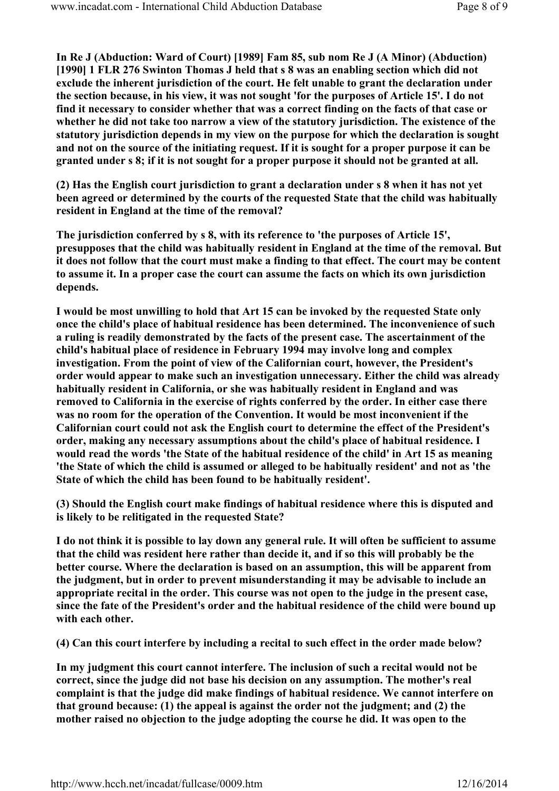In Re J (Abduction: Ward of Court) [1989] Fam 85, sub nom Re J (A Minor) (Abduction) [1990] 1 FLR 276 Swinton Thomas J held that s 8 was an enabling section which did not exclude the inherent jurisdiction of the court. He felt unable to grant the declaration under the section because, in his view, it was not sought 'for the purposes of Article 15'. I do not find it necessary to consider whether that was a correct finding on the facts of that case or whether he did not take too narrow a view of the statutory jurisdiction. The existence of the statutory jurisdiction depends in my view on the purpose for which the declaration is sought and not on the source of the initiating request. If it is sought for a proper purpose it can be granted under s 8; if it is not sought for a proper purpose it should not be granted at all.

(2) Has the English court jurisdiction to grant a declaration under s 8 when it has not yet been agreed or determined by the courts of the requested State that the child was habitually resident in England at the time of the removal?

The jurisdiction conferred by s 8, with its reference to 'the purposes of Article 15', presupposes that the child was habitually resident in England at the time of the removal. But it does not follow that the court must make a finding to that effect. The court may be content to assume it. In a proper case the court can assume the facts on which its own jurisdiction depends.

I would be most unwilling to hold that Art 15 can be invoked by the requested State only once the child's place of habitual residence has been determined. The inconvenience of such a ruling is readily demonstrated by the facts of the present case. The ascertainment of the child's habitual place of residence in February 1994 may involve long and complex investigation. From the point of view of the Californian court, however, the President's order would appear to make such an investigation unnecessary. Either the child was already habitually resident in California, or she was habitually resident in England and was removed to California in the exercise of rights conferred by the order. In either case there was no room for the operation of the Convention. It would be most inconvenient if the Californian court could not ask the English court to determine the effect of the President's order, making any necessary assumptions about the child's place of habitual residence. I would read the words 'the State of the habitual residence of the child' in Art 15 as meaning 'the State of which the child is assumed or alleged to be habitually resident' and not as 'the State of which the child has been found to be habitually resident'.

(3) Should the English court make findings of habitual residence where this is disputed and is likely to be relitigated in the requested State?

I do not think it is possible to lay down any general rule. It will often be sufficient to assume that the child was resident here rather than decide it, and if so this will probably be the better course. Where the declaration is based on an assumption, this will be apparent from the judgment, but in order to prevent misunderstanding it may be advisable to include an appropriate recital in the order. This course was not open to the judge in the present case, since the fate of the President's order and the habitual residence of the child were bound up with each other.

(4) Can this court interfere by including a recital to such effect in the order made below?

In my judgment this court cannot interfere. The inclusion of such a recital would not be correct, since the judge did not base his decision on any assumption. The mother's real complaint is that the judge did make findings of habitual residence. We cannot interfere on that ground because: (1) the appeal is against the order not the judgment; and (2) the mother raised no objection to the judge adopting the course he did. It was open to the